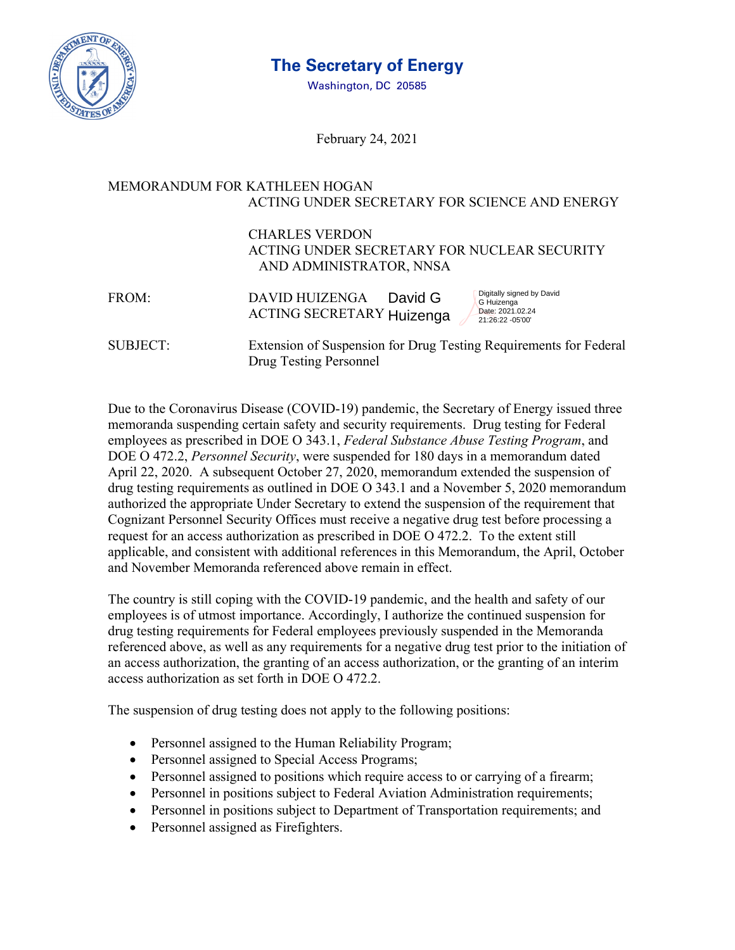

## **The Secretary of Energy**

Washington, DC 20585

February 24, 2021

## MEMORANDUM FOR KATHLEEN HOGAN ACTING UNDER SECRETARY FOR SCIENCE AND ENERGY

## CHARLES VERDON ACTING UNDER SECRETARY FOR NUCLEAR SECURITY AND ADMINISTRATOR, NNSA

| FROM: | DAVID HUIZENGA            | David G | Digitally signed by David<br>G Huizenga |
|-------|---------------------------|---------|-----------------------------------------|
|       | ACTING SECRETARY Huizenga |         | Date: 2021.02.24<br>21:26:22 -05'00'    |

SUBJECT: Extension of Suspension for Drug Testing Requirements for Federal Drug Testing Personnel

Due to the Coronavirus Disease (COVID-19) pandemic, the Secretary of Energy issued three memoranda suspending certain safety and security requirements. Drug testing for Federal employees as prescribed in DOE O 343.1, *Federal Substance Abuse Testing Program*, and DOE O 472.2, *Personnel Security*, were suspended for 180 days in a memorandum dated April 22, 2020. A subsequent October 27, 2020, memorandum extended the suspension of drug testing requirements as outlined in DOE O 343.1 and a November 5, 2020 memorandum authorized the appropriate Under Secretary to extend the suspension of the requirement that Cognizant Personnel Security Offices must receive a negative drug test before processing a request for an access authorization as prescribed in DOE O 472.2. To the extent still applicable, and consistent with additional references in this Memorandum, the April, October and November Memoranda referenced above remain in effect.

The country is still coping with the COVID-19 pandemic, and the health and safety of our employees is of utmost importance. Accordingly, I authorize the continued suspension for drug testing requirements for Federal employees previously suspended in the Memoranda referenced above, as well as any requirements for a negative drug test prior to the initiation of an access authorization, the granting of an access authorization, or the granting of an interim access authorization as set forth in DOE O 472.2.

The suspension of drug testing does not apply to the following positions:

- Personnel assigned to the Human Reliability Program;
- Personnel assigned to Special Access Programs;
- Personnel assigned to positions which require access to or carrying of a firearm;
- Personnel in positions subject to Federal Aviation Administration requirements;
- Personnel in positions subject to Department of Transportation requirements; and
- Personnel assigned as Firefighters.